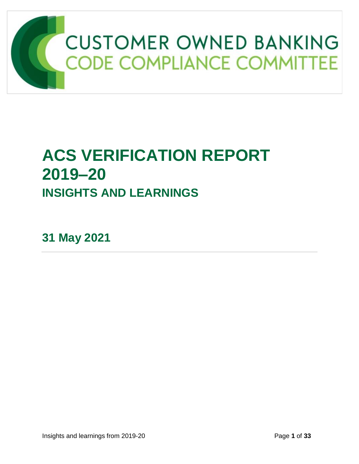

# **ACS VERIFICATION REPORT 2019–20 INSIGHTS AND LEARNINGS**

**31 May 2021**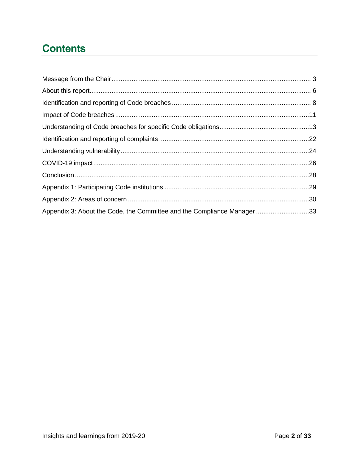# **Contents**

| Appendix 3: About the Code, the Committee and the Compliance Manager 33 |  |
|-------------------------------------------------------------------------|--|
|                                                                         |  |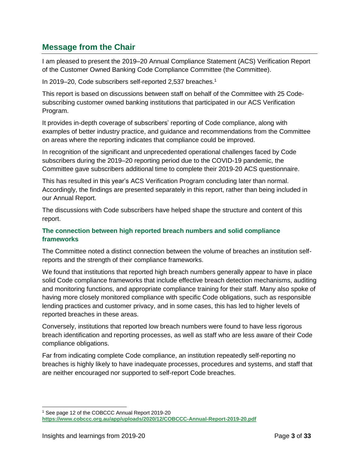# <span id="page-2-0"></span>**Message from the Chair**

I am pleased to present the 2019–20 Annual Compliance Statement (ACS) Verification Report of the Customer Owned Banking Code Compliance Committee (the Committee).

In 2019–20, Code subscribers self-reported 2,537 breaches.<sup>1</sup>

This report is based on discussions between staff on behalf of the Committee with 25 Codesubscribing customer owned banking institutions that participated in our ACS Verification Program.

It provides in-depth coverage of subscribers' reporting of Code compliance, along with examples of better industry practice, and guidance and recommendations from the Committee on areas where the reporting indicates that compliance could be improved.

In recognition of the significant and unprecedented operational challenges faced by Code subscribers during the 2019–20 reporting period due to the COVID-19 pandemic, the Committee gave subscribers additional time to complete their 2019-20 ACS questionnaire.

This has resulted in this year's ACS Verification Program concluding later than normal. Accordingly, the findings are presented separately in this report, rather than being included in our Annual Report.

The discussions with Code subscribers have helped shape the structure and content of this report.

### **The connection between high reported breach numbers and solid compliance frameworks**

The Committee noted a distinct connection between the volume of breaches an institution selfreports and the strength of their compliance frameworks.

We found that institutions that reported high breach numbers generally appear to have in place solid Code compliance frameworks that include effective breach detection mechanisms, auditing and monitoring functions, and appropriate compliance training for their staff. Many also spoke of having more closely monitored compliance with specific Code obligations, such as responsible lending practices and customer privacy, and in some cases, this has led to higher levels of reported breaches in these areas.

Conversely, institutions that reported low breach numbers were found to have less rigorous breach identification and reporting processes, as well as staff who are less aware of their Code compliance obligations.

Far from indicating complete Code compliance, an institution repeatedly self-reporting no breaches is highly likely to have inadequate processes, procedures and systems, and staff that are neither encouraged nor supported to self-report Code breaches.

 $\overline{a}$ 

<sup>1</sup> See page 12 of the COBCCC Annual Report 2019-20 **<https://www.cobccc.org.au/app/uploads/2020/12/COBCCC-Annual-Report-2019-20.pdf>**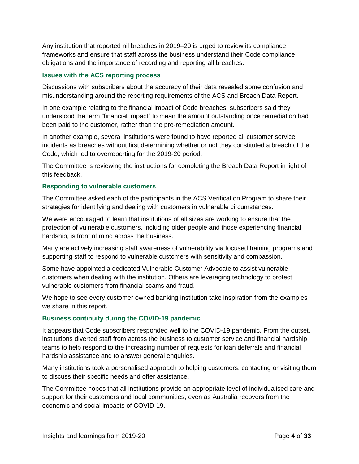Any institution that reported nil breaches in 2019–20 is urged to review its compliance frameworks and ensure that staff across the business understand their Code compliance obligations and the importance of recording and reporting all breaches.

#### **Issues with the ACS reporting process**

Discussions with subscribers about the accuracy of their data revealed some confusion and misunderstanding around the reporting requirements of the ACS and Breach Data Report.

In one example relating to the financial impact of Code breaches, subscribers said they understood the term "financial impact" to mean the amount outstanding once remediation had been paid to the customer, rather than the pre-remediation amount.

In another example, several institutions were found to have reported all customer service incidents as breaches without first determining whether or not they constituted a breach of the Code, which led to overreporting for the 2019-20 period.

The Committee is reviewing the instructions for completing the Breach Data Report in light of this feedback.

#### **Responding to vulnerable customers**

The Committee asked each of the participants in the ACS Verification Program to share their strategies for identifying and dealing with customers in vulnerable circumstances.

We were encouraged to learn that institutions of all sizes are working to ensure that the protection of vulnerable customers, including older people and those experiencing financial hardship, is front of mind across the business.

Many are actively increasing staff awareness of vulnerability via focused training programs and supporting staff to respond to vulnerable customers with sensitivity and compassion.

Some have appointed a dedicated Vulnerable Customer Advocate to assist vulnerable customers when dealing with the institution. Others are leveraging technology to protect vulnerable customers from financial scams and fraud.

We hope to see every customer owned banking institution take inspiration from the examples we share in this report.

#### **Business continuity during the COVID-19 pandemic**

It appears that Code subscribers responded well to the COVID-19 pandemic. From the outset, institutions diverted staff from across the business to customer service and financial hardship teams to help respond to the increasing number of requests for loan deferrals and financial hardship assistance and to answer general enquiries.

Many institutions took a personalised approach to helping customers, contacting or visiting them to discuss their specific needs and offer assistance.

The Committee hopes that all institutions provide an appropriate level of individualised care and support for their customers and local communities, even as Australia recovers from the economic and social impacts of COVID-19.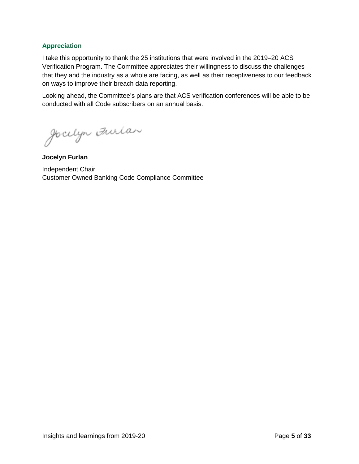#### **Appreciation**

I take this opportunity to thank the 25 institutions that were involved in the 2019–20 ACS Verification Program. The Committee appreciates their willingness to discuss the challenges that they and the industry as a whole are facing, as well as their receptiveness to our feedback on ways to improve their breach data reporting.

Looking ahead, the Committee's plans are that ACS verification conferences will be able to be conducted with all Code subscribers on an annual basis.

Jocelyn Furlan

**Jocelyn Furlan** Independent Chair Customer Owned Banking Code Compliance Committee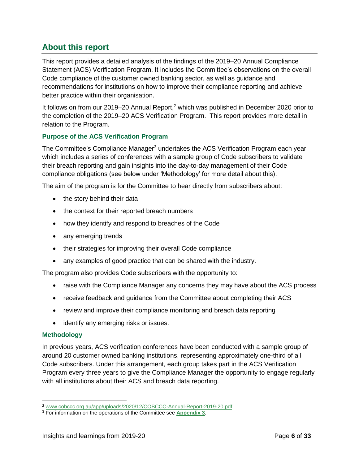# <span id="page-5-0"></span>**About this report**

This report provides a detailed analysis of the findings of the 2019–20 Annual Compliance Statement (ACS) Verification Program. It includes the Committee's observations on the overall Code compliance of the customer owned banking sector, as well as guidance and recommendations for institutions on how to improve their compliance reporting and achieve better practice within their organisation.

It follows on from our 2019–20 Annual Report,<sup>2</sup> which was published in December 2020 prior to the completion of the 2019–20 ACS Verification Program. This report provides more detail in relation to the Program.

### **Purpose of the ACS Verification Program**

The Committee's Compliance Manager<sup>3</sup> undertakes the ACS Verification Program each year which includes a series of conferences with a sample group of Code subscribers to validate their breach reporting and gain insights into the day-to-day management of their Code compliance obligations (see below under 'Methodology' for more detail about this).

The aim of the program is for the Committee to hear directly from subscribers about:

- the story behind their data
- the context for their reported breach numbers
- how they identify and respond to breaches of the Code
- any emerging trends
- their strategies for improving their overall Code compliance
- any examples of good practice that can be shared with the industry.

The program also provides Code subscribers with the opportunity to:

- raise with the Compliance Manager any concerns they may have about the ACS process
- receive feedback and quidance from the Committee about completing their ACS
- review and improve their compliance monitoring and breach data reporting
- identify any emerging risks or issues.

#### **Methodology**

In previous years, ACS verification conferences have been conducted with a sample group of around 20 customer owned banking institutions, representing approximately one-third of all Code subscribers. Under this arrangement, each group takes part in the ACS Verification Program every three years to give the Compliance Manager the opportunity to engage regularly with all institutions about their ACS and breach data reporting.

**<sup>2</sup>** [www.cobccc.org.au/app/uploads/2020/12/COBCCC-Annual-Report-2019-20.pdf](http://www.cobccc.org.au/app/uploads/2020/12/COBCCC-Annual-Report-2019-20.pdf)

<sup>3</sup> For information on the operations of the Committee see **[Appendix 3](#page-32-0)**.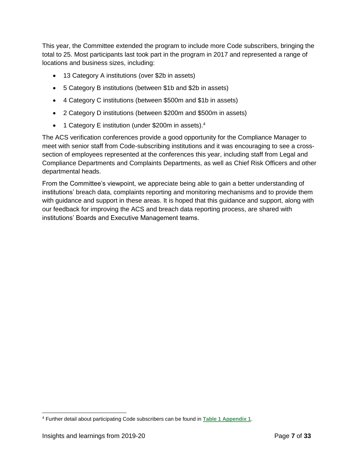This year, the Committee extended the program to include more Code subscribers, bringing the total to 25. Most participants last took part in the program in 2017 and represented a range of locations and business sizes, including:

- 13 Category A institutions (over \$2b in assets)
- 5 Category B institutions (between \$1b and \$2b in assets)
- 4 Category C institutions (between \$500m and \$1b in assets)
- 2 Category D institutions (between \$200m and \$500m in assets)
- 1 Category E institution (under \$200m in assets).<sup>4</sup>

The ACS verification conferences provide a good opportunity for the Compliance Manager to meet with senior staff from Code-subscribing institutions and it was encouraging to see a crosssection of employees represented at the conferences this year, including staff from Legal and Compliance Departments and Complaints Departments, as well as Chief Risk Officers and other departmental heads.

From the Committee's viewpoint, we appreciate being able to gain a better understanding of institutions' breach data, complaints reporting and monitoring mechanisms and to provide them with guidance and support in these areas. It is hoped that this guidance and support, along with our feedback for improving the ACS and breach data reporting process, are shared with institutions' Boards and Executive Management teams.

 <sup>4</sup> Further detail about participating Code subscribers can be found in **[Table 1 Appendix 1](#page-28-0)**.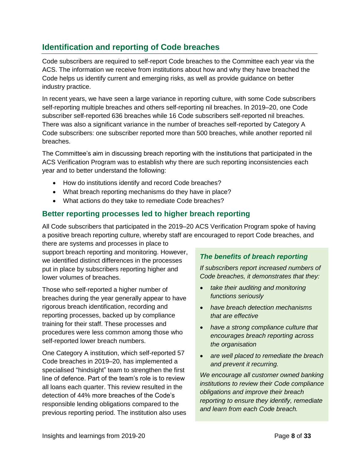# <span id="page-7-0"></span>**Identification and reporting of Code breaches**

Code subscribers are required to self-report Code breaches to the Committee each year via the ACS. The information we receive from institutions about how and why they have breached the Code helps us identify current and emerging risks, as well as provide guidance on better industry practice.

In recent years, we have seen a large variance in reporting culture, with some Code subscribers self-reporting multiple breaches and others self-reporting nil breaches. In 2019–20, one Code subscriber self-reported 636 breaches while 16 Code subscribers self-reported nil breaches. There was also a significant variance in the number of breaches self-reported by Category A Code subscribers: one subscriber reported more than 500 breaches, while another reported nil breaches.

The Committee's aim in discussing breach reporting with the institutions that participated in the ACS Verification Program was to establish why there are such reporting inconsistencies each year and to better understand the following:

- How do institutions identify and record Code breaches?
- What breach reporting mechanisms do they have in place?
- What actions do they take to remediate Code breaches?

# **Better reporting processes led to higher breach reporting**

All Code subscribers that participated in the 2019–20 ACS Verification Program spoke of having a positive breach reporting culture, whereby staff are encouraged to report Code breaches, and

there are systems and processes in place to support breach reporting and monitoring. However, we identified distinct differences in the processes put in place by subscribers reporting higher and lower volumes of breaches.

Those who self-reported a higher number of breaches during the year generally appear to have rigorous breach identification, recording and reporting processes, backed up by compliance training for their staff. These processes and procedures were less common among those who self-reported lower breach numbers.

One Category A institution, which self-reported 57 Code breaches in 2019–20, has implemented a specialised "hindsight" team to strengthen the first line of defence. Part of the team's role is to review all loans each quarter. This review resulted in the detection of 44% more breaches of the Code's responsible lending obligations compared to the previous reporting period. The institution also uses

### *The benefits of breach reporting*

*If subscribers report increased numbers of Code breaches, it demonstrates that they:*

- *take their auditing and monitoring functions seriously*
- *have breach detection mechanisms that are effective*
- *have a strong compliance culture that encourages breach reporting across the organisation*
- *are well placed to remediate the breach and prevent it recurring.*

*We encourage all customer owned banking institutions to review their Code compliance obligations and improve their breach reporting to ensure they identify, remediate and learn from each Code breach.*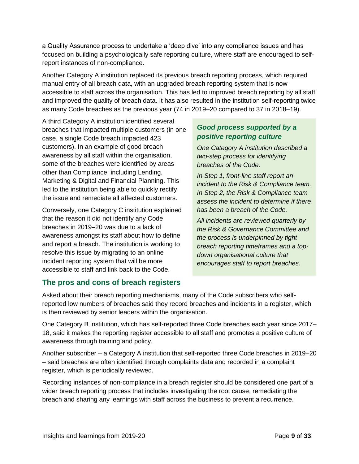a Quality Assurance process to undertake a 'deep dive' into any compliance issues and has focused on building a psychologically safe reporting culture, where staff are encouraged to selfreport instances of non-compliance.

Another Category A institution replaced its previous breach reporting process, which required manual entry of all breach data, with an upgraded breach reporting system that is now accessible to staff across the organisation. This has led to improved breach reporting by all staff and improved the quality of breach data. It has also resulted in the institution self-reporting twice as many Code breaches as the previous year (74 in 2019–20 compared to 37 in 2018–19).

A third Category A institution identified several breaches that impacted multiple customers (in one case, a single Code breach impacted 423 customers). In an example of good breach awareness by all staff within the organisation, some of the breaches were identified by areas other than Compliance, including Lending, Marketing & Digital and Financial Planning. This led to the institution being able to quickly rectify the issue and remediate all affected customers.

Conversely, one Category C institution explained that the reason it did not identify any Code breaches in 2019–20 was due to a lack of awareness amongst its staff about how to define and report a breach. The institution is working to resolve this issue by migrating to an online incident reporting system that will be more accessible to staff and link back to the Code.

### *Good process supported by a positive reporting culture*

*One Category A institution described a two-step process for identifying breaches of the Code.*

*In Step 1, front-line staff report an incident to the Risk & Compliance team. In Step 2, the Risk & Compliance team assess the incident to determine if there has been a breach of the Code.* 

*All incidents are reviewed quarterly by the Risk & Governance Committee and the process is underpinned by tight breach reporting timeframes and a topdown organisational culture that encourages staff to report breaches.*

# **The pros and cons of breach registers**

Asked about their breach reporting mechanisms, many of the Code subscribers who selfreported low numbers of breaches said they record breaches and incidents in a register, which is then reviewed by senior leaders within the organisation.

One Category B institution, which has self-reported three Code breaches each year since 2017– 18, said it makes the reporting register accessible to all staff and promotes a positive culture of awareness through training and policy.

Another subscriber – a Category A institution that self-reported three Code breaches in 2019–20 – said breaches are often identified through complaints data and recorded in a complaint register, which is periodically reviewed.

Recording instances of non-compliance in a breach register should be considered one part of a wider breach reporting process that includes investigating the root cause, remediating the breach and sharing any learnings with staff across the business to prevent a recurrence.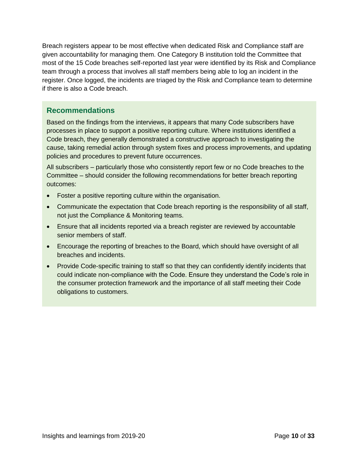Breach registers appear to be most effective when dedicated Risk and Compliance staff are given accountability for managing them. One Category B institution told the Committee that most of the 15 Code breaches self-reported last year were identified by its Risk and Compliance team through a process that involves all staff members being able to log an incident in the register. Once logged, the incidents are triaged by the Risk and Compliance team to determine if there is also a Code breach.

# **Recommendations**

Based on the findings from the interviews, it appears that many Code subscribers have processes in place to support a positive reporting culture. Where institutions identified a Code breach, they generally demonstrated a constructive approach to investigating the cause, taking remedial action through system fixes and process improvements, and updating policies and procedures to prevent future occurrences.

All subscribers – particularly those who consistently report few or no Code breaches to the Committee – should consider the following recommendations for better breach reporting outcomes:

- Foster a positive reporting culture within the organisation.
- Communicate the expectation that Code breach reporting is the responsibility of all staff, not just the Compliance & Monitoring teams.
- Ensure that all incidents reported via a breach register are reviewed by accountable senior members of staff.
- Encourage the reporting of breaches to the Board, which should have oversight of all breaches and incidents.
- Provide Code-specific training to staff so that they can confidently identify incidents that could indicate non-compliance with the Code. Ensure they understand the Code's role in the consumer protection framework and the importance of all staff meeting their Code obligations to customers.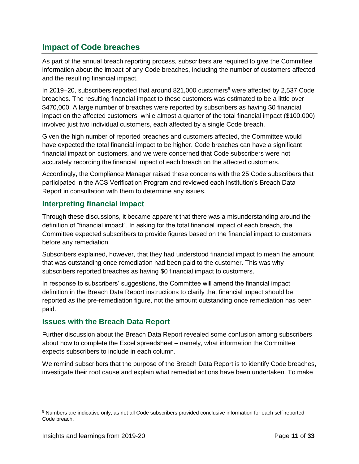# <span id="page-10-0"></span>**Impact of Code breaches**

As part of the annual breach reporting process, subscribers are required to give the Committee information about the impact of any Code breaches, including the number of customers affected and the resulting financial impact.

In 2019–20, subscribers reported that around 821,000 customers<sup>5</sup> were affected by 2,537 Code breaches. The resulting financial impact to these customers was estimated to be a little over \$470,000. A large number of breaches were reported by subscribers as having \$0 financial impact on the affected customers, while almost a quarter of the total financial impact (\$100,000) involved just two individual customers, each affected by a single Code breach.

Given the high number of reported breaches and customers affected, the Committee would have expected the total financial impact to be higher. Code breaches can have a significant financial impact on customers, and we were concerned that Code subscribers were not accurately recording the financial impact of each breach on the affected customers.

Accordingly, the Compliance Manager raised these concerns with the 25 Code subscribers that participated in the ACS Verification Program and reviewed each institution's Breach Data Report in consultation with them to determine any issues.

# **Interpreting financial impact**

Through these discussions, it became apparent that there was a misunderstanding around the definition of "financial impact". In asking for the total financial impact of each breach, the Committee expected subscribers to provide figures based on the financial impact to customers before any remediation.

Subscribers explained, however, that they had understood financial impact to mean the amount that was outstanding once remediation had been paid to the customer. This was why subscribers reported breaches as having \$0 financial impact to customers.

In response to subscribers' suggestions, the Committee will amend the financial impact definition in the Breach Data Report instructions to clarify that financial impact should be reported as the pre-remediation figure, not the amount outstanding once remediation has been paid.

# **Issues with the Breach Data Report**

Further discussion about the Breach Data Report revealed some confusion among subscribers about how to complete the Excel spreadsheet – namely, what information the Committee expects subscribers to include in each column.

We remind subscribers that the purpose of the Breach Data Report is to identify Code breaches, investigate their root cause and explain what remedial actions have been undertaken. To make

 $\overline{a}$ 

<sup>5</sup> Numbers are indicative only, as not all Code subscribers provided conclusive information for each self-reported Code breach.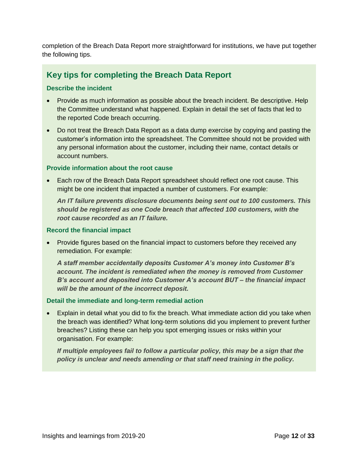completion of the Breach Data Report more straightforward for institutions, we have put together the following tips.

# **Key tips for completing the Breach Data Report**

#### **Describe the incident**

- Provide as much information as possible about the breach incident. Be descriptive. Help the Committee understand what happened. Explain in detail the set of facts that led to the reported Code breach occurring.
- Do not treat the Breach Data Report as a data dump exercise by copying and pasting the customer's information into the spreadsheet. The Committee should not be provided with any personal information about the customer, including their name, contact details or account numbers.

#### **Provide information about the root cause**

• Each row of the Breach Data Report spreadsheet should reflect one root cause. This might be one incident that impacted a number of customers. For example:

*An IT failure prevents disclosure documents being sent out to 100 customers. This should be registered as one Code breach that affected 100 customers, with the root cause recorded as an IT failure.*

#### **Record the financial impact**

• Provide figures based on the financial impact to customers before they received any remediation. For example:

*A staff member accidentally deposits Customer A's money into Customer B's account. The incident is remediated when the money is removed from Customer B's account and deposited into Customer A's account BUT – the financial impact will be the amount of the incorrect deposit.*

#### **Detail the immediate and long-term remedial action**

• Explain in detail what you did to fix the breach. What immediate action did you take when the breach was identified? What long-term solutions did you implement to prevent further breaches? Listing these can help you spot emerging issues or risks within your organisation. For example:

*If multiple employees fail to follow a particular policy, this may be a sign that the policy is unclear and needs amending or that staff need training in the policy.*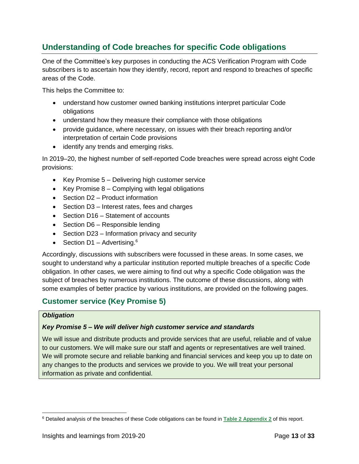# <span id="page-12-0"></span>**Understanding of Code breaches for specific Code obligations**

One of the Committee's key purposes in conducting the ACS Verification Program with Code subscribers is to ascertain how they identify, record, report and respond to breaches of specific areas of the Code.

This helps the Committee to:

- understand how customer owned banking institutions interpret particular Code obligations
- understand how they measure their compliance with those obligations
- provide guidance, where necessary, on issues with their breach reporting and/or interpretation of certain Code provisions
- identify any trends and emerging risks.

In 2019–20, the highest number of self-reported Code breaches were spread across eight Code provisions:

- Key Promise 5 Delivering high customer service
- Key Promise 8 Complying with legal obligations
- Section D2 Product information
- Section D3 Interest rates, fees and charges
- Section D16 Statement of accounts
- Section D6 Responsible lending
- Section D23 Information privacy and security
- Section D1 Advertising. $6$

Accordingly, discussions with subscribers were focussed in these areas. In some cases, we sought to understand why a particular institution reported multiple breaches of a specific Code obligation. In other cases, we were aiming to find out why a specific Code obligation was the subject of breaches by numerous institutions. The outcome of these discussions, along with some examples of better practice by various institutions, are provided on the following pages.

# **Customer service (Key Promise 5)**

#### *Obligation*

#### *Key Promise 5 – We will deliver high customer service and standards*

We will issue and distribute products and provide services that are useful, reliable and of value to our customers. We will make sure our staff and agents or representatives are well trained. We will promote secure and reliable banking and financial services and keep you up to date on any changes to the products and services we provide to you. We will treat your personal information as private and confidential.

<sup>6</sup> Detailed analysis of the breaches of these Code obligations can be found in **[Table 2 Appendix 2](#page-29-0)** of this report.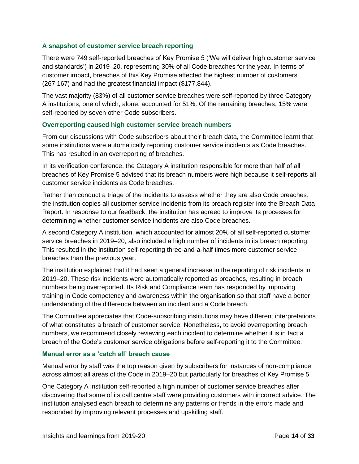#### **A snapshot of customer service breach reporting**

There were 749 self-reported breaches of Key Promise 5 ('We will deliver high customer service and standards') in 2019–20, representing 30% of all Code breaches for the year. In terms of customer impact, breaches of this Key Promise affected the highest number of customers (267,167) and had the greatest financial impact (\$177,844).

The vast majority (83%) of all customer service breaches were self-reported by three Category A institutions, one of which, alone, accounted for 51%. Of the remaining breaches, 15% were self-reported by seven other Code subscribers.

#### **Overreporting caused high customer service breach numbers**

From our discussions with Code subscribers about their breach data, the Committee learnt that some institutions were automatically reporting customer service incidents as Code breaches. This has resulted in an overreporting of breaches.

In its verification conference, the Category A institution responsible for more than half of all breaches of Key Promise 5 advised that its breach numbers were high because it self-reports all customer service incidents as Code breaches.

Rather than conduct a triage of the incidents to assess whether they are also Code breaches, the institution copies all customer service incidents from its breach register into the Breach Data Report. In response to our feedback, the institution has agreed to improve its processes for determining whether customer service incidents are also Code breaches.

A second Category A institution, which accounted for almost 20% of all self-reported customer service breaches in 2019–20, also included a high number of incidents in its breach reporting. This resulted in the institution self-reporting three-and-a-half times more customer service breaches than the previous year.

The institution explained that it had seen a general increase in the reporting of risk incidents in 2019–20. These risk incidents were automatically reported as breaches, resulting in breach numbers being overreported. Its Risk and Compliance team has responded by improving training in Code competency and awareness within the organisation so that staff have a better understanding of the difference between an incident and a Code breach.

The Committee appreciates that Code-subscribing institutions may have different interpretations of what constitutes a breach of customer service. Nonetheless, to avoid overreporting breach numbers, we recommend closely reviewing each incident to determine whether it is in fact a breach of the Code's customer service obligations before self-reporting it to the Committee.

#### **Manual error as a 'catch all' breach cause**

Manual error by staff was the top reason given by subscribers for instances of non-compliance across almost all areas of the Code in 2019–20 but particularly for breaches of Key Promise 5.

One Category A institution self-reported a high number of customer service breaches after discovering that some of its call centre staff were providing customers with incorrect advice. The institution analysed each breach to determine any patterns or trends in the errors made and responded by improving relevant processes and upskilling staff.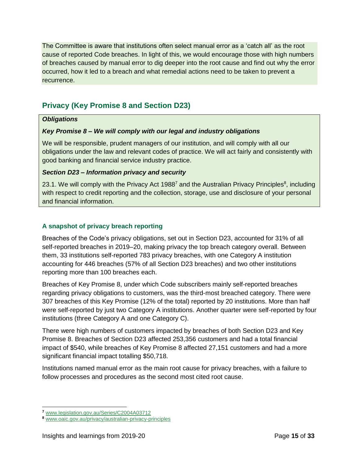The Committee is aware that institutions often select manual error as a 'catch all' as the root cause of reported Code breaches. In light of this, we would encourage those with high numbers of breaches caused by manual error to dig deeper into the root cause and find out why the error occurred, how it led to a breach and what remedial actions need to be taken to prevent a recurrence.

# **Privacy (Key Promise 8 and Section D23)**

#### *Obligations*

### *Key Promise 8 – We will comply with our legal and industry obligations*

We will be responsible, prudent managers of our institution, and will comply with all our obligations under the law and relevant codes of practice. We will act fairly and consistently with good banking and financial service industry practice.

#### *Section D23 – Information privacy and security*

23.1. We will comply with the Privacy Act 1988<sup>7</sup> and the Australian Privacy Principles<sup>8</sup>, including with respect to credit reporting and the collection, storage, use and disclosure of your personal and financial information.

### **A snapshot of privacy breach reporting**

Breaches of the Code's privacy obligations, set out in Section D23, accounted for 31% of all self-reported breaches in 2019–20, making privacy the top breach category overall. Between them, 33 institutions self-reported 783 privacy breaches, with one Category A institution accounting for 446 breaches (57% of all Section D23 breaches) and two other institutions reporting more than 100 breaches each.

Breaches of Key Promise 8, under which Code subscribers mainly self-reported breaches regarding privacy obligations to customers, was the third-most breached category. There were 307 breaches of this Key Promise (12% of the total) reported by 20 institutions. More than half were self-reported by just two Category A institutions. Another quarter were self-reported by four institutions (three Category A and one Category C).

There were high numbers of customers impacted by breaches of both Section D23 and Key Promise 8. Breaches of Section D23 affected 253,356 customers and had a total financial impact of \$540, while breaches of Key Promise 8 affected 27,151 customers and had a more significant financial impact totalling \$50,718.

Institutions named manual error as the main root cause for privacy breaches, with a failure to follow processes and procedures as the second most cited root cause.

 $\overline{a}$ 

**<sup>7</sup>** [www.legislation.gov.au/Series/C2004A03712](http://www.legislation.gov.au/Series/C2004A03712)

**<sup>8</sup>** [www.oaic.gov.au/privacy/australian-privacy-principles](http://www.oaic.gov.au/privacy/australian-privacy-principles)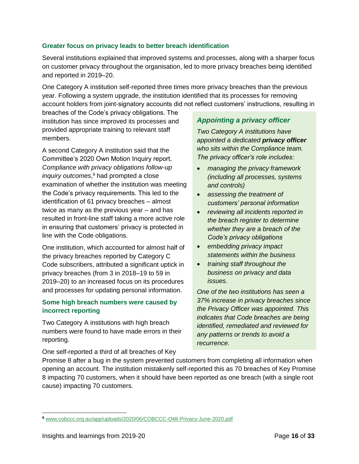#### **Greater focus on privacy leads to better breach identification**

Several institutions explained that improved systems and processes, along with a sharper focus on customer privacy throughout the organisation, led to more privacy breaches being identified and reported in 2019–20.

One Category A institution self-reported three times more privacy breaches than the previous year. Following a system upgrade, the institution identified that its processes for removing account holders from joint-signatory accounts did not reflect customers' instructions, resulting in

breaches of the Code's privacy obligations. The institution has since improved its processes and provided appropriate training to relevant staff members.

A second Category A institution said that the Committee's 2020 Own Motion Inquiry report, *Compliance with privacy obligations follow-up inquiry outcomes*, <sup>9</sup> had prompted a close examination of whether the institution was meeting the Code's privacy requirements. This led to the identification of 61 privacy breaches – almost twice as many as the previous year – and has resulted in front-line staff taking a more active role in ensuring that customers' privacy is protected in line with the Code obligations.

One institution, which accounted for almost half of the privacy breaches reported by Category C Code subscribers, attributed a significant uptick in privacy breaches (from 3 in 2018–19 to 59 in 2019–20) to an increased focus on its procedures and processes for updating personal information.

#### **Some high breach numbers were caused by incorrect reporting**

Two Category A institutions with high breach numbers were found to have made errors in their reporting.

One self-reported a third of all breaches of Key

### *Appointing a privacy officer*

*Two Category A institutions have appointed a dedicated privacy officer who sits within the Compliance team. The privacy officer's role includes:*

- *managing the privacy framework (including all processes, systems and controls)*
- *assessing the treatment of customers' personal information*
- *reviewing all incidents reported in the breach register to determine whether they are a breach of the Code's privacy obligations*
- *embedding privacy impact statements within the business*
- *training staff throughout the business on privacy and data issues.*

*One of the two institutions has seen a 37% increase in privacy breaches since the Privacy Officer was appointed. This indicates that Code breaches are being identified, remediated and reviewed for any patterns or trends to avoid a recurrence.*

Promise 8 after a bug in the system prevented customers from completing all information when opening an account. The institution mistakenly self-reported this as 70 breaches of Key Promise 8 impacting 70 customers, when it should have been reported as one breach (with a single root cause) impacting 70 customers.

**<sup>9</sup>** [www.cobccc.org.au/app/uploads/2020/06/COBCCC-OMI-Privacy-June-2020.pdf](http://www.cobccc.org.au/app/uploads/2020/06/COBCCC-OMI-Privacy-June-2020.pdf)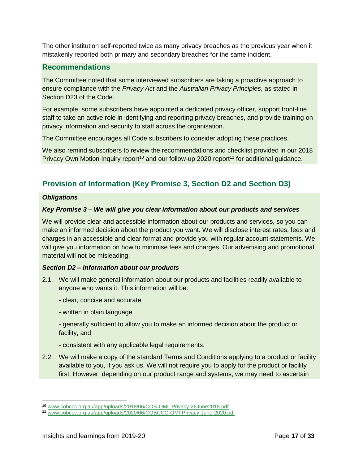The other institution self-reported twice as many privacy breaches as the previous year when it mistakenly reported both primary and secondary breaches for the same incident.

### **Recommendations**

The Committee noted that some interviewed subscribers are taking a proactive approach to ensure compliance with the *Privacy Act* and the *Australian Privacy Principles*, as stated in Section D23 of the Code.

For example, some subscribers have appointed a dedicated privacy officer, support front-line staff to take an active role in identifying and reporting privacy breaches, and provide training on privacy information and security to staff across the organisation.

The Committee encourages all Code subscribers to consider adopting these practices.

We also remind subscribers to review the recommendations and checklist provided in our 2018 Privacy Own Motion Inquiry report<sup>10</sup> and our follow-up 2020 report<sup>11</sup> for additional guidance.

# **Provision of Information (Key Promise 3, Section D2 and Section D3)**

#### *Obligations*

#### *Key Promise 3 – We will give you clear information about our products and services*

We will provide clear and accessible information about our products and services, so you can make an informed decision about the product you want. We will disclose interest rates, fees and charges in an accessible and clear format and provide you with regular account statements. We will give you information on how to minimise fees and charges. Our advertising and promotional material will not be misleading.

#### *Section D2 – Information about our products*

- 2.1. We will make general information about our products and facilities readily available to anyone who wants it. This information will be:
	- clear, concise and accurate
	- written in plain language
	- generally sufficient to allow you to make an informed decision about the product or facility, and
	- consistent with any applicable legal requirements.
- 2.2. We will make a copy of the standard Terms and Conditions applying to a product or facility available to you, if you ask us. We will not require you to apply for the product or facility first. However, depending on our product range and systems, we may need to ascertain

**<sup>10</sup>** [www.cobccc.org.au/app/uploads/2018/06/COB-OMI\\_Privacy-26June2018.pdf](http://www.cobccc.org.au/app/uploads/2018/06/COB-OMI_Privacy-26June2018.pdf)

**<sup>11</sup>** [www.cobccc.org.au/app/uploads/2020/06/COBCCC-OMI-Privacy-June-2020.pdf](http://www.cobccc.org.au/app/uploads/2020/06/COBCCC-OMI-Privacy-June-2020.pdf)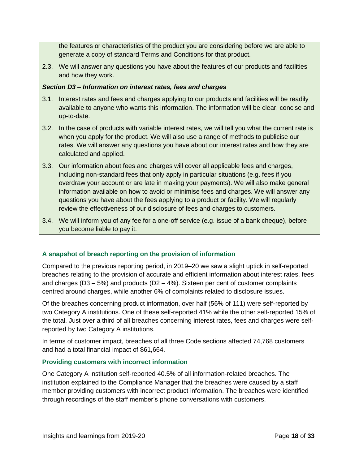the features or characteristics of the product you are considering before we are able to generate a copy of standard Terms and Conditions for that product.

2.3. We will answer any questions you have about the features of our products and facilities and how they work.

#### *Section D3 – Information on interest rates, fees and charges*

- 3.1. Interest rates and fees and charges applying to our products and facilities will be readily available to anyone who wants this information. The information will be clear, concise and up-to-date.
- 3.2. In the case of products with variable interest rates, we will tell you what the current rate is when you apply for the product. We will also use a range of methods to publicise our rates. We will answer any questions you have about our interest rates and how they are calculated and applied.
- 3.3. Our information about fees and charges will cover all applicable fees and charges, including non-standard fees that only apply in particular situations (e.g. fees if you overdraw your account or are late in making your payments). We will also make general information available on how to avoid or minimise fees and charges. We will answer any questions you have about the fees applying to a product or facility. We will regularly review the effectiveness of our disclosure of fees and charges to customers.
- 3.4. We will inform you of any fee for a one-off service (e.g. issue of a bank cheque), before you become liable to pay it.

#### **A snapshot of breach reporting on the provision of information**

Compared to the previous reporting period, in 2019–20 we saw a slight uptick in self-reported breaches relating to the provision of accurate and efficient information about interest rates, fees and charges ( $D3 - 5%$ ) and products ( $D2 - 4%$ ). Sixteen per cent of customer complaints centred around charges, while another 6% of complaints related to disclosure issues.

Of the breaches concerning product information, over half (56% of 111) were self-reported by two Category A institutions. One of these self-reported 41% while the other self-reported 15% of the total. Just over a third of all breaches concerning interest rates, fees and charges were selfreported by two Category A institutions.

In terms of customer impact, breaches of all three Code sections affected 74,768 customers and had a total financial impact of \$61,664.

#### **Providing customers with incorrect information**

One Category A institution self-reported 40.5% of all information-related breaches. The institution explained to the Compliance Manager that the breaches were caused by a staff member providing customers with incorrect product information. The breaches were identified through recordings of the staff member's phone conversations with customers.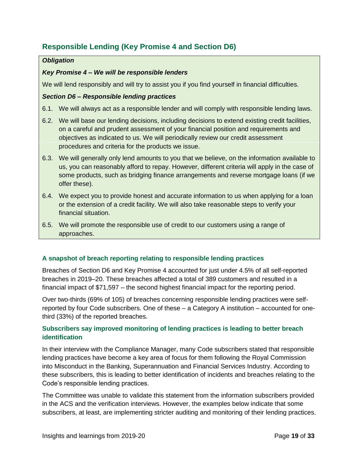# **Responsible Lending (Key Promise 4 and Section D6)**

#### *Obligation*

#### *Key Promise 4 – We will be responsible lenders*

We will lend responsibly and will try to assist you if you find yourself in financial difficulties.

#### *Section D6 – Responsible lending practices*

- 6.1. We will always act as a responsible lender and will comply with responsible lending laws.
- 6.2. We will base our lending decisions, including decisions to extend existing credit facilities, on a careful and prudent assessment of your financial position and requirements and objectives as indicated to us. We will periodically review our credit assessment procedures and criteria for the products we issue.
- 6.3. We will generally only lend amounts to you that we believe, on the information available to us, you can reasonably afford to repay. However, different criteria will apply in the case of some products, such as bridging finance arrangements and reverse mortgage loans (if we offer these).
- 6.4. We expect you to provide honest and accurate information to us when applying for a loan or the extension of a credit facility. We will also take reasonable steps to verify your financial situation.
- 6.5. We will promote the responsible use of credit to our customers using a range of approaches.

#### **A snapshot of breach reporting relating to responsible lending practices**

Breaches of Section D6 and Key Promise 4 accounted for just under 4.5% of all self-reported breaches in 2019–20. These breaches affected a total of 389 customers and resulted in a financial impact of \$71,597 – the second highest financial impact for the reporting period.

Over two-thirds (69% of 105) of breaches concerning responsible lending practices were selfreported by four Code subscribers. One of these – a Category A institution – accounted for onethird (33%) of the reported breaches.

#### **Subscribers say improved monitoring of lending practices is leading to better breach identification**

In their interview with the Compliance Manager, many Code subscribers stated that responsible lending practices have become a key area of focus for them following the Royal Commission into Misconduct in the Banking, Superannuation and Financial Services Industry. According to these subscribers, this is leading to better identification of incidents and breaches relating to the Code's responsible lending practices.

The Committee was unable to validate this statement from the information subscribers provided in the ACS and the verification interviews. However, the examples below indicate that some subscribers, at least, are implementing stricter auditing and monitoring of their lending practices.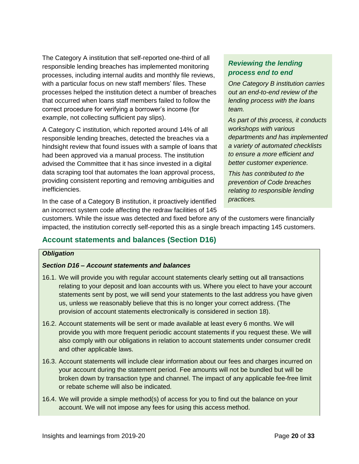The Category A institution that self-reported one-third of all responsible lending breaches has implemented monitoring processes, including internal audits and monthly file reviews, with a particular focus on new staff members' files. These processes helped the institution detect a number of breaches that occurred when loans staff members failed to follow the correct procedure for verifying a borrower's income (for example, not collecting sufficient pay slips).

A Category C institution, which reported around 14% of all responsible lending breaches, detected the breaches via a hindsight review that found issues with a sample of loans that had been approved via a manual process. The institution advised the Committee that it has since invested in a digital data scraping tool that automates the loan approval process, providing consistent reporting and removing ambiguities and inefficiencies.

# *Reviewing the lending process end to end*

*One Category B institution carries out an end-to-end review of the lending process with the loans team.*

*As part of this process, it conducts workshops with various departments and has implemented a variety of automated checklists to ensure a more efficient and better customer experience.*

*This has contributed to the prevention of Code breaches relating to responsible lending practices.*

In the case of a Category B institution, it proactively identified an incorrect system code affecting the redraw facilities of 145

customers. While the issue was detected and fixed before any of the customers were financially impacted, the institution correctly self-reported this as a single breach impacting 145 customers.

# **Account statements and balances (Section D16)**

#### *Obligation*

### *Section D16 – Account statements and balances*

- 16.1. We will provide you with regular account statements clearly setting out all transactions relating to your deposit and loan accounts with us. Where you elect to have your account statements sent by post, we will send your statements to the last address you have given us, unless we reasonably believe that this is no longer your correct address. (The provision of account statements electronically is considered in section 18).
- 16.2. Account statements will be sent or made available at least every 6 months. We will provide you with more frequent periodic account statements if you request these. We will also comply with our obligations in relation to account statements under consumer credit and other applicable laws.
- 16.3. Account statements will include clear information about our fees and charges incurred on your account during the statement period. Fee amounts will not be bundled but will be broken down by transaction type and channel. The impact of any applicable fee-free limit or rebate scheme will also be indicated.
- 16.4. We will provide a simple method(s) of access for you to find out the balance on your account. We will not impose any fees for using this access method.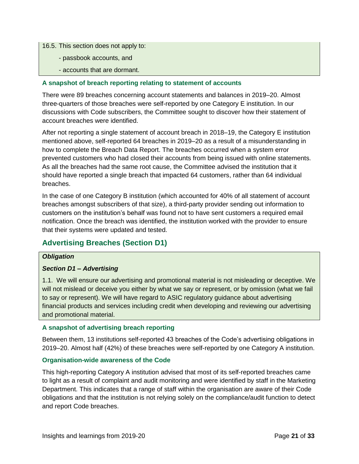16.5. This section does not apply to:

- passbook accounts, and
- accounts that are dormant.

#### **A snapshot of breach reporting relating to statement of accounts**

There were 89 breaches concerning account statements and balances in 2019–20. Almost three-quarters of those breaches were self-reported by one Category E institution. In our discussions with Code subscribers, the Committee sought to discover how their statement of account breaches were identified.

After not reporting a single statement of account breach in 2018–19, the Category E institution mentioned above, self-reported 64 breaches in 2019–20 as a result of a misunderstanding in how to complete the Breach Data Report. The breaches occurred when a system error prevented customers who had closed their accounts from being issued with online statements. As all the breaches had the same root cause, the Committee advised the institution that it should have reported a single breach that impacted 64 customers, rather than 64 individual breaches.

In the case of one Category B institution (which accounted for 40% of all statement of account breaches amongst subscribers of that size), a third-party provider sending out information to customers on the institution's behalf was found not to have sent customers a required email notification. Once the breach was identified, the institution worked with the provider to ensure that their systems were updated and tested.

# **Advertising Breaches (Section D1)**

#### *Obligation*

### *Section D1 – Advertising*

1.1. We will ensure our advertising and promotional material is not misleading or deceptive. We will not mislead or deceive you either by what we say or represent, or by omission (what we fail to say or represent). We will have regard to ASIC regulatory guidance about advertising financial products and services including credit when developing and reviewing our advertising and promotional material.

#### **A snapshot of advertising breach reporting**

Between them, 13 institutions self-reported 43 breaches of the Code's advertising obligations in 2019–20. Almost half (42%) of these breaches were self-reported by one Category A institution.

#### **Organisation-wide awareness of the Code**

This high-reporting Category A institution advised that most of its self-reported breaches came to light as a result of complaint and audit monitoring and were identified by staff in the Marketing Department. This indicates that a range of staff within the organisation are aware of their Code obligations and that the institution is not relying solely on the compliance/audit function to detect and report Code breaches.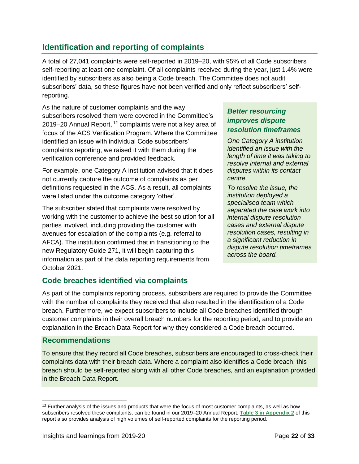# <span id="page-21-0"></span>**Identification and reporting of complaints**

A total of 27,041 complaints were self-reported in 2019–20, with 95% of all Code subscribers self-reporting at least one complaint. Of all complaints received during the year, just 1.4% were identified by subscribers as also being a Code breach. The Committee does not audit subscribers' data, so these figures have not been verified and only reflect subscribers' selfreporting.

As the nature of customer complaints and the way subscribers resolved them were covered in the Committee's 2019–20 Annual Report, <sup>12</sup> complaints were not a key area of focus of the ACS Verification Program. Where the Committee identified an issue with individual Code subscribers' complaints reporting, we raised it with them during the verification conference and provided feedback.

For example, one Category A institution advised that it does not currently capture the outcome of complaints as per definitions requested in the ACS. As a result, all complaints were listed under the outcome category 'other'.

The subscriber stated that complaints were resolved by working with the customer to achieve the best solution for all parties involved, including providing the customer with avenues for escalation of the complaints (e.g. referral to AFCA). The institution confirmed that in transitioning to the new Regulatory Guide 271, it will begin capturing this information as part of the data reporting requirements from October 2021.

# *Better resourcing improves dispute resolution timeframes*

*One Category A institution identified an issue with the length of time it was taking to resolve internal and external disputes within its contact centre.*

*To resolve the issue, the institution deployed a specialised team which separated the case work into internal dispute resolution cases and external dispute resolution cases, resulting in a significant reduction in dispute resolution timeframes across the board.*

# **Code breaches identified via complaints**

As part of the complaints reporting process, subscribers are required to provide the Committee with the number of complaints they received that also resulted in the identification of a Code breach. Furthermore, we expect subscribers to include all Code breaches identified through customer complaints in their overall breach numbers for the reporting period, and to provide an explanation in the Breach Data Report for why they considered a Code breach occurred.

### **Recommendations**

To ensure that they record all Code breaches, subscribers are encouraged to cross-check their complaints data with their breach data. Where a complaint also identifies a Code breach, this breach should be self-reported along with all other Code breaches, and an explanation provided in the Breach Data Report.

 $12$  Further analysis of the issues and products that were the focus of most customer complaints, as well as how subscribers resolved these complaints, can be found in our 2019–20 Annual Report. **[Table 3 in Appendix 2](#page-29-0)** of this report also provides analysis of high volumes of self-reported complaints for the reporting period.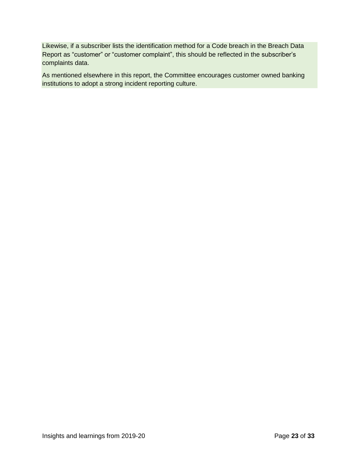Likewise, if a subscriber lists the identification method for a Code breach in the Breach Data Report as "customer" or "customer complaint", this should be reflected in the subscriber's complaints data.

As mentioned elsewhere in this report, the Committee encourages customer owned banking institutions to adopt a strong incident reporting culture.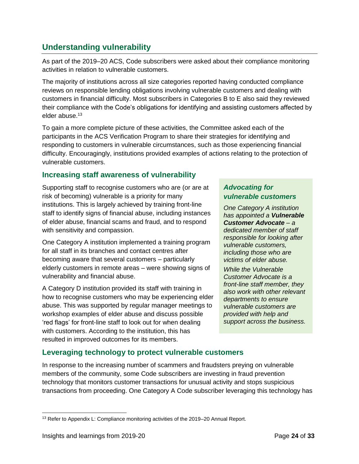# <span id="page-23-0"></span>**Understanding vulnerability**

As part of the 2019–20 ACS, Code subscribers were asked about their compliance monitoring activities in relation to vulnerable customers.

The majority of institutions across all size categories reported having conducted compliance reviews on responsible lending obligations involving vulnerable customers and dealing with customers in financial difficulty. Most subscribers in Categories B to E also said they reviewed their compliance with the Code's obligations for identifying and assisting customers affected by elder abuse.<sup>13</sup>

To gain a more complete picture of these activities, the Committee asked each of the participants in the ACS Verification Program to share their strategies for identifying and responding to customers in vulnerable circumstances, such as those experiencing financial difficulty. Encouragingly, institutions provided examples of actions relating to the protection of vulnerable customers.

# **Increasing staff awareness of vulnerability**

Supporting staff to recognise customers who are (or are at risk of becoming) vulnerable is a priority for many institutions. This is largely achieved by training front-line staff to identify signs of financial abuse, including instances of elder abuse, financial scams and fraud, and to respond with sensitivity and compassion.

One Category A institution implemented a training program for all staff in its branches and contact centres after becoming aware that several customers – particularly elderly customers in remote areas – were showing signs of vulnerability and financial abuse.

A Category D institution provided its staff with training in how to recognise customers who may be experiencing elder abuse. This was supported by regular manager meetings to workshop examples of elder abuse and discuss possible 'red flags' for front-line staff to look out for when dealing with customers. According to the institution, this has resulted in improved outcomes for its members.

# *Advocating for vulnerable customers*

*One Category A institution has appointed a Vulnerable Customer Advocate – a dedicated member of staff responsible for looking after vulnerable customers, including those who are victims of elder abuse.*

*While the Vulnerable Customer Advocate is a front-line staff member, they also work with other relevant departments to ensure vulnerable customers are provided with help and support across the business.*

# **Leveraging technology to protect vulnerable customers**

In response to the increasing number of scammers and fraudsters preying on vulnerable members of the community, some Code subscribers are investing in fraud prevention technology that monitors customer transactions for unusual activity and stops suspicious transactions from proceeding. One Category A Code subscriber leveraging this technology has

  $13$  Refer to Appendix L: Compliance monitoring activities of the 2019–20 Annual Report.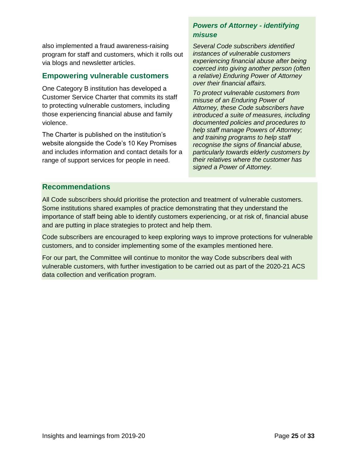also implemented a fraud awareness-raising program for staff and customers, which it rolls out via blogs and newsletter articles.

### **Empowering vulnerable customers**

One Category B institution has developed a Customer Service Charter that commits its staff to protecting vulnerable customers, including those experiencing financial abuse and family violence.

The Charter is published on the institution's website alongside the Code's 10 Key Promises and includes information and contact details for a range of support services for people in need.

# *Powers of Attorney - identifying misuse*

*Several Code subscribers identified instances of vulnerable customers experiencing financial abuse after being coerced into giving another person (often a relative) Enduring Power of Attorney over their financial affairs.*

*To protect vulnerable customers from misuse of an Enduring Power of Attorney, these Code subscribers have introduced a suite of measures, including documented policies and procedures to help staff manage Powers of Attorney; and training programs to help staff recognise the signs of financial abuse, particularly towards elderly customers by their relatives where the customer has signed a Power of Attorney.*

# **Recommendations**

All Code subscribers should prioritise the protection and treatment of vulnerable customers. Some institutions shared examples of practice demonstrating that they understand the importance of staff being able to identify customers experiencing, or at risk of, financial abuse and are putting in place strategies to protect and help them.

Code subscribers are encouraged to keep exploring ways to improve protections for vulnerable customers, and to consider implementing some of the examples mentioned here.

For our part, the Committee will continue to monitor the way Code subscribers deal with vulnerable customers, with further investigation to be carried out as part of the 2020-21 ACS data collection and verification program.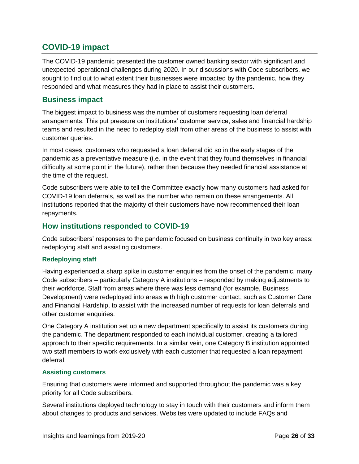# <span id="page-25-0"></span>**COVID-19 impact**

The COVID-19 pandemic presented the customer owned banking sector with significant and unexpected operational challenges during 2020. In our discussions with Code subscribers, we sought to find out to what extent their businesses were impacted by the pandemic, how they responded and what measures they had in place to assist their customers.

### **Business impact**

The biggest impact to business was the number of customers requesting loan deferral arrangements. This put pressure on institutions' customer service, sales and financial hardship teams and resulted in the need to redeploy staff from other areas of the business to assist with customer queries.

In most cases, customers who requested a loan deferral did so in the early stages of the pandemic as a preventative measure (i.e. in the event that they found themselves in financial difficulty at some point in the future), rather than because they needed financial assistance at the time of the request.

Code subscribers were able to tell the Committee exactly how many customers had asked for COVID-19 loan deferrals, as well as the number who remain on these arrangements. All institutions reported that the majority of their customers have now recommenced their loan repayments.

# **How institutions responded to COVID-19**

Code subscribers' responses to the pandemic focused on business continuity in two key areas: redeploying staff and assisting customers.

### **Redeploying staff**

Having experienced a sharp spike in customer enquiries from the onset of the pandemic, many Code subscribers – particularly Category A institutions – responded by making adjustments to their workforce. Staff from areas where there was less demand (for example, Business Development) were redeployed into areas with high customer contact, such as Customer Care and Financial Hardship, to assist with the increased number of requests for loan deferrals and other customer enquiries.

One Category A institution set up a new department specifically to assist its customers during the pandemic. The department responded to each individual customer, creating a tailored approach to their specific requirements. In a similar vein, one Category B institution appointed two staff members to work exclusively with each customer that requested a loan repayment deferral.

### **Assisting customers**

Ensuring that customers were informed and supported throughout the pandemic was a key priority for all Code subscribers.

Several institutions deployed technology to stay in touch with their customers and inform them about changes to products and services. Websites were updated to include FAQs and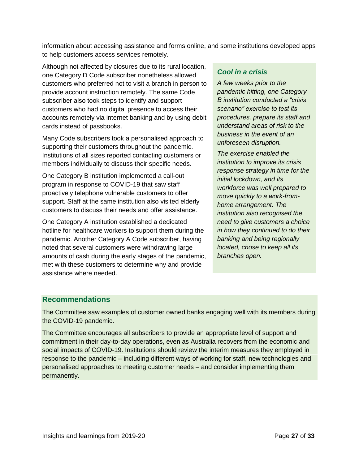information about accessing assistance and forms online, and some institutions developed apps to help customers access services remotely.

Although not affected by closures due to its rural location, one Category D Code subscriber nonetheless allowed customers who preferred not to visit a branch in person to provide account instruction remotely. The same Code subscriber also took steps to identify and support customers who had no digital presence to access their accounts remotely via internet banking and by using debit cards instead of passbooks.

Many Code subscribers took a personalised approach to supporting their customers throughout the pandemic. Institutions of all sizes reported contacting customers or members individually to discuss their specific needs.

One Category B institution implemented a call-out program in response to COVID-19 that saw staff proactively telephone vulnerable customers to offer support. Staff at the same institution also visited elderly customers to discuss their needs and offer assistance.

One Category A institution established a dedicated hotline for healthcare workers to support them during the pandemic. Another Category A Code subscriber, having noted that several customers were withdrawing large amounts of cash during the early stages of the pandemic, met with these customers to determine why and provide assistance where needed.

### *Cool in a crisis*

*A few weeks prior to the pandemic hitting, one Category B institution conducted a "crisis scenario" exercise to test its procedures, prepare its staff and understand areas of risk to the business in the event of an unforeseen disruption.*

*The exercise enabled the institution to improve its crisis response strategy in time for the initial lockdown, and its workforce was well prepared to move quickly to a work-fromhome arrangement. The institution also recognised the need to give customers a choice in how they continued to do their banking and being regionally located, chose to keep all its branches open.*

# **Recommendations**

The Committee saw examples of customer owned banks engaging well with its members during the COVID-19 pandemic.

The Committee encourages all subscribers to provide an appropriate level of support and commitment in their day-to-day operations, even as Australia recovers from the economic and social impacts of COVID-19. Institutions should review the interim measures they employed in response to the pandemic – including different ways of working for staff, new technologies and personalised approaches to meeting customer needs – and consider implementing them permanently.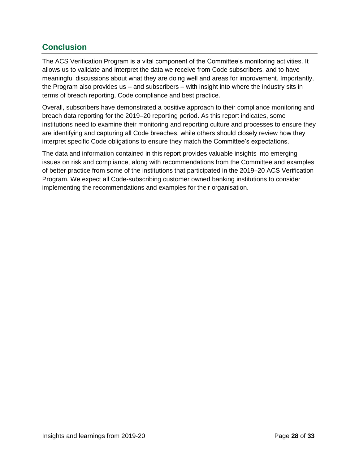# <span id="page-27-0"></span>**Conclusion**

The ACS Verification Program is a vital component of the Committee's monitoring activities. It allows us to validate and interpret the data we receive from Code subscribers, and to have meaningful discussions about what they are doing well and areas for improvement. Importantly, the Program also provides us – and subscribers – with insight into where the industry sits in terms of breach reporting, Code compliance and best practice.

Overall, subscribers have demonstrated a positive approach to their compliance monitoring and breach data reporting for the 2019–20 reporting period. As this report indicates, some institutions need to examine their monitoring and reporting culture and processes to ensure they are identifying and capturing all Code breaches, while others should closely review how they interpret specific Code obligations to ensure they match the Committee's expectations.

The data and information contained in this report provides valuable insights into emerging issues on risk and compliance, along with recommendations from the Committee and examples of better practice from some of the institutions that participated in the 2019–20 ACS Verification Program. We expect all Code-subscribing customer owned banking institutions to consider implementing the recommendations and examples for their organisation.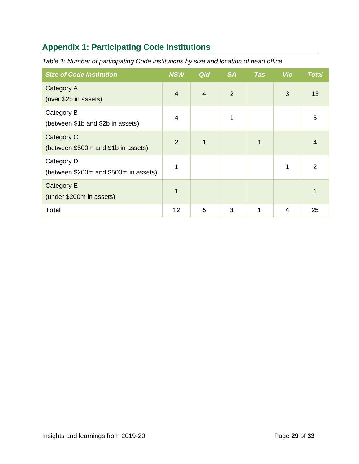# <span id="page-28-0"></span>**Appendix 1: Participating Code institutions**

| <b>Size of Code institution</b>                     | <b>NSW</b>     | <b>Qld</b> | <b>SA</b>      | <b>Tas</b> | <b>Vic</b> | <b>Total</b> |
|-----------------------------------------------------|----------------|------------|----------------|------------|------------|--------------|
| Category A<br>(over \$2b in assets)                 | $\overline{4}$ | 4          | $\overline{2}$ |            | 3          | 13           |
| Category B<br>(between \$1b and \$2b in assets)     | 4              |            | 1              |            |            | 5            |
| Category C<br>(between \$500m and \$1b in assets)   | $\mathcal{P}$  | 1          |                | 1          |            |              |
| Category D<br>(between \$200m and \$500m in assets) | 1              |            |                |            |            | 2            |
| Category E<br>(under \$200m in assets)              | 1              |            |                |            |            |              |
| <b>Total</b>                                        | 12             | 5          | 3              | 1          | 4          | 25           |

*Table 1: Number of participating Code institutions by size and location of head office*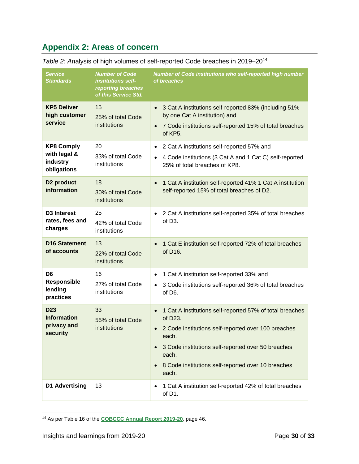# <span id="page-29-0"></span>**Appendix 2: Areas of concern**

| <b>Service</b><br><b>Standards</b>                               | <b>Number of Code</b><br>institutions self-<br>reporting breaches<br>of this Service Std. | Number of Code institutions who self-reported high number<br>of breaches                                                                                                                                                                                          |
|------------------------------------------------------------------|-------------------------------------------------------------------------------------------|-------------------------------------------------------------------------------------------------------------------------------------------------------------------------------------------------------------------------------------------------------------------|
| <b>KP5 Deliver</b><br>high customer<br>service                   | 15<br>25% of total Code<br>institutions                                                   | 3 Cat A institutions self-reported 83% (including 51%<br>by one Cat A institution) and<br>7 Code institutions self-reported 15% of total breaches<br>of KP5.                                                                                                      |
| <b>KP8 Comply</b><br>with legal &<br>industry<br>obligations     | 20<br>33% of total Code<br>institutions                                                   | 2 Cat A institutions self-reported 57% and<br>$\bullet$<br>4 Code institutions (3 Cat A and 1 Cat C) self-reported<br>$\bullet$<br>25% of total breaches of KP8.                                                                                                  |
| D <sub>2</sub> product<br>information                            | 18<br>30% of total Code<br>institutions                                                   | 1 Cat A institution self-reported 41% 1 Cat A institution<br>self-reported 15% of total breaches of D2.                                                                                                                                                           |
| D <sub>3</sub> Interest<br>rates, fees and<br>charges            | 25<br>42% of total Code<br>institutions                                                   | 2 Cat A institutions self-reported 35% of total breaches<br>of D <sub>3</sub> .                                                                                                                                                                                   |
| <b>D16 Statement</b><br>of accounts                              | 13<br>22% of total Code<br>institutions                                                   | 1 Cat E institution self-reported 72% of total breaches<br>of D16.                                                                                                                                                                                                |
| D <sub>6</sub><br>Responsible<br>lending<br>practices            | 16<br>27% of total Code<br>institutions                                                   | 1 Cat A institution self-reported 33% and<br>3 Code institutions self-reported 36% of total breaches<br>of D6.                                                                                                                                                    |
| D <sub>23</sub><br><b>Information</b><br>privacy and<br>security | 33<br>55% of total Code<br>institutions                                                   | 1 Cat A institutions self-reported 57% of total breaches<br>of D23.<br>2 Code institutions self-reported over 100 breaches<br>each.<br>3 Code institutions self-reported over 50 breaches<br>each.<br>8 Code institutions self-reported over 10 breaches<br>each. |
| D1 Advertising                                                   | 13                                                                                        | 1 Cat A institution self-reported 42% of total breaches<br>of D1.                                                                                                                                                                                                 |

*Table 2: A*nalysis of high volumes of self-reported Code breaches in 2019–20<sup>14</sup>

 <sup>14</sup> As per Table 16 of the **[COBCCC Annual Report 2019-20](https://www.cobccc.org.au/app/uploads/2020/12/COBCCC-Annual-Report-2019-20.pdf)**, page 46.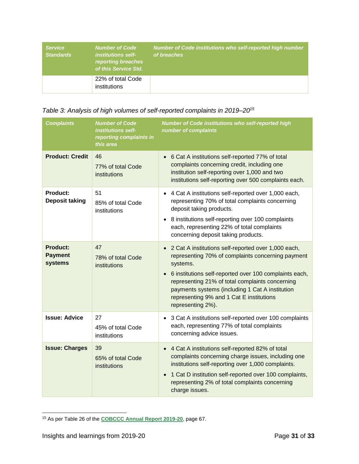| <b>Service</b><br><b>Standards</b> | <b>Number of Code</b><br><i>institutions self-</i><br><b>reporting breaches</b><br>of this Service Std. | Number of Code institutions who self-reported high number<br>of breaches' |
|------------------------------------|---------------------------------------------------------------------------------------------------------|---------------------------------------------------------------------------|
|                                    | 22% of total Code<br>institutions                                                                       |                                                                           |

# *Table 3: Analysis of high volumes of self-reported complaints in 2019–20<sup>15</sup>*

| <b>Complaints</b>                            | <b>Number of Code</b><br>institutions self-<br>reporting complaints in<br>this area | Number of Code institutions who self-reported high<br>number of complaints                                                                                                                                                                                                                                                                                         |
|----------------------------------------------|-------------------------------------------------------------------------------------|--------------------------------------------------------------------------------------------------------------------------------------------------------------------------------------------------------------------------------------------------------------------------------------------------------------------------------------------------------------------|
| <b>Product: Credit</b>                       | 46<br>77% of total Code<br>institutions                                             | • 6 Cat A institutions self-reported 77% of total<br>complaints concerning credit, including one<br>institution self-reporting over 1,000 and two<br>institutions self-reporting over 500 complaints each.                                                                                                                                                         |
| <b>Product:</b><br><b>Deposit taking</b>     | 51<br>85% of total Code<br>institutions                                             | • 4 Cat A institutions self-reported over 1,000 each,<br>representing 70% of total complaints concerning<br>deposit taking products.<br>• 8 institutions self-reporting over 100 complaints<br>each, representing 22% of total complaints<br>concerning deposit taking products.                                                                                   |
| <b>Product:</b><br><b>Payment</b><br>systems | 47<br>78% of total Code<br>institutions                                             | 2 Cat A institutions self-reported over 1,000 each,<br>$\bullet$<br>representing 70% of complaints concerning payment<br>systems.<br>6 institutions self-reported over 100 complaints each,<br>representing 21% of total complaints concerning<br>payments systems (including 1 Cat A institution<br>representing 9% and 1 Cat E institutions<br>representing 2%). |
| <b>Issue: Advice</b>                         | 27<br>45% of total Code<br>institutions                                             | 3 Cat A institutions self-reported over 100 complaints<br>$\bullet$<br>each, representing 77% of total complaints<br>concerning advice issues.                                                                                                                                                                                                                     |
| <b>Issue: Charges</b>                        | 39<br>65% of total Code<br>institutions                                             | • 4 Cat A institutions self-reported 82% of total<br>complaints concerning charge issues, including one<br>institutions self-reporting over 1,000 complaints.<br>1 Cat D institution self-reported over 100 complaints,<br>representing 2% of total complaints concerning<br>charge issues.                                                                        |

<sup>15</sup> As per Table 26 of the **[COBCCC Annual Report 2019-20](https://www.cobccc.org.au/app/uploads/2020/12/COBCCC-Annual-Report-2019-20.pdf)**, page 67.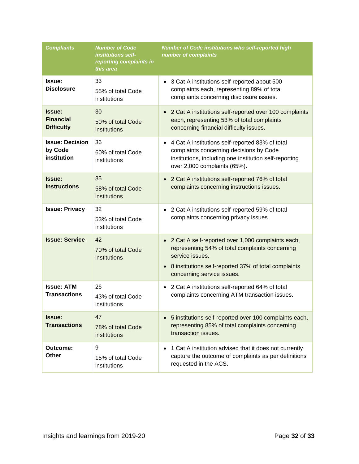| <b>Complaints</b>                                | <b>Number of Code</b><br><i>institutions self-</i><br>reporting complaints in<br>this area | <b>Number of Code institutions who self-reported high</b><br>number of complaints                                                                                                                                                       |
|--------------------------------------------------|--------------------------------------------------------------------------------------------|-----------------------------------------------------------------------------------------------------------------------------------------------------------------------------------------------------------------------------------------|
| Issue:<br><b>Disclosure</b>                      | 33<br>55% of total Code<br>institutions                                                    | • 3 Cat A institutions self-reported about 500<br>complaints each, representing 89% of total<br>complaints concerning disclosure issues.                                                                                                |
| Issue:<br><b>Financial</b><br><b>Difficulty</b>  | 30<br>50% of total Code<br>institutions                                                    | • 2 Cat A institutions self-reported over 100 complaints<br>each, representing 53% of total complaints<br>concerning financial difficulty issues.                                                                                       |
| <b>Issue: Decision</b><br>by Code<br>institution | 36<br>60% of total Code<br>institutions                                                    | • 4 Cat A institutions self-reported 83% of total<br>complaints concerning decisions by Code<br>institutions, including one institution self-reporting<br>over 2,000 complaints (65%).                                                  |
| Issue:<br><b>Instructions</b>                    | 35<br>58% of total Code<br>institutions                                                    | 2 Cat A institutions self-reported 76% of total<br>complaints concerning instructions issues.                                                                                                                                           |
| <b>Issue: Privacy</b>                            | 32<br>53% of total Code<br>institutions                                                    | 2 Cat A institutions self-reported 59% of total<br>$\bullet$<br>complaints concerning privacy issues.                                                                                                                                   |
| <b>Issue: Service</b>                            | 42<br>70% of total Code<br>institutions                                                    | 2 Cat A self-reported over 1,000 complaints each,<br>$\bullet$<br>representing 54% of total complaints concerning<br>service issues.<br>8 institutions self-reported 37% of total complaints<br>$\bullet$<br>concerning service issues. |
| <b>Issue: ATM</b><br><b>Transactions</b>         | 26<br>43% of total Code<br>institutions                                                    | 2 Cat A institutions self-reported 64% of total<br>$\bullet$<br>complaints concerning ATM transaction issues.                                                                                                                           |
| Issue:<br><b>Transactions</b>                    | 47<br>78% of total Code<br>institutions                                                    | 5 institutions self-reported over 100 complaints each,<br>$\bullet$<br>representing 85% of total complaints concerning<br>transaction issues.                                                                                           |
| Outcome:<br><b>Other</b>                         | 9<br>15% of total Code<br>institutions                                                     | 1 Cat A institution advised that it does not currently<br>capture the outcome of complaints as per definitions<br>requested in the ACS.                                                                                                 |